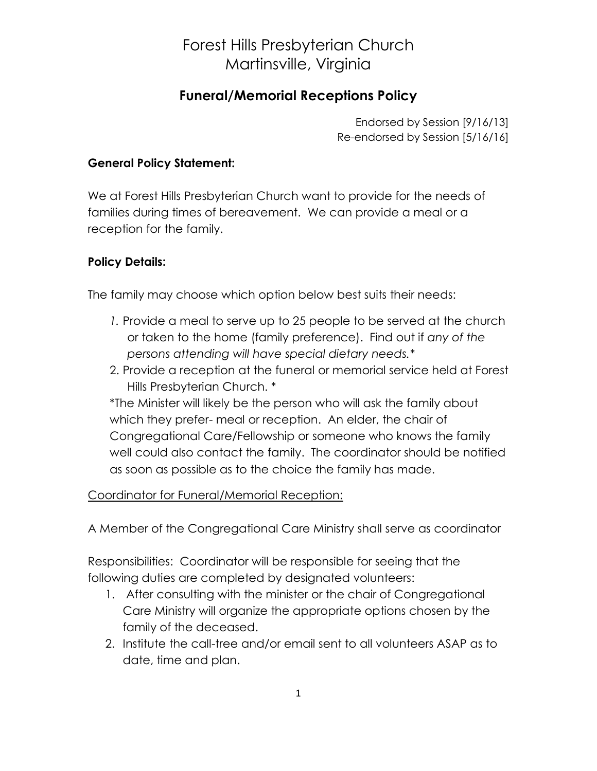## Forest Hills Presbyterian Church Martinsville, Virginia

### **Funeral/Memorial Receptions Policy**

Endorsed by Session [9/16/13] Re-endorsed by Session [5/16/16]

#### **General Policy Statement:**

We at Forest Hills Presbyterian Church want to provide for the needs of families during times of bereavement. We can provide a meal or a reception for the family.

#### **Policy Details:**

The family may choose which option below best suits their needs:

- *1.* Provide a meal to serve up to 25 people to be served at the church or taken to the home (family preference). Find out if *any of the persons attending will have special dietary needs.\**
- 2. Provide a reception at the funeral or memorial service held at Forest Hills Presbyterian Church. \*

\*The Minister will likely be the person who will ask the family about which they prefer- meal or reception. An elder, the chair of Congregational Care/Fellowship or someone who knows the family well could also contact the family. The coordinator should be notified as soon as possible as to the choice the family has made.

#### Coordinator for Funeral/Memorial Reception:

A Member of the Congregational Care Ministry shall serve as coordinator

Responsibilities: Coordinator will be responsible for seeing that the following duties are completed by designated volunteers:

- 1. After consulting with the minister or the chair of Congregational Care Ministry will organize the appropriate options chosen by the family of the deceased.
- 2. Institute the call-tree and/or email sent to all volunteers ASAP as to date, time and plan.